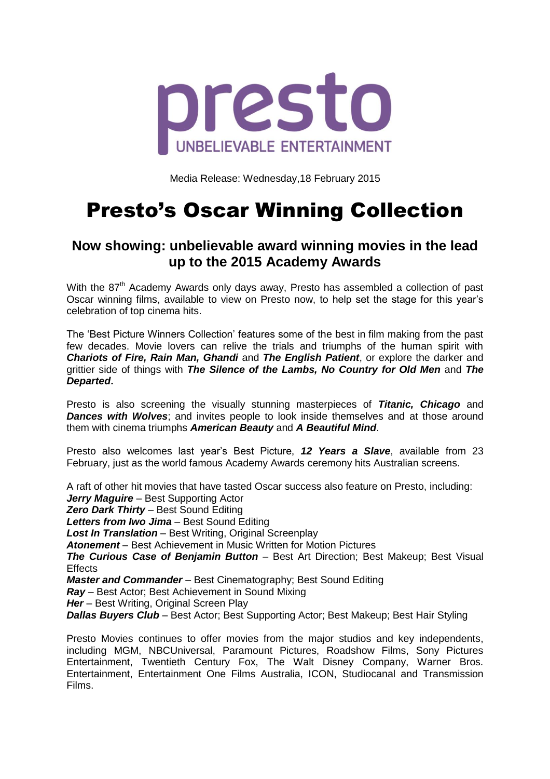

Media Release: Wednesday,18 February 2015

## Presto's Oscar Winning Collection

## **Now showing: unbelievable award winning movies in the lead up to the 2015 Academy Awards**

With the 87<sup>th</sup> Academy Awards only days away, Presto has assembled a collection of past Oscar winning films, available to view on Presto now, to help set the stage for this year's celebration of top cinema hits.

The 'Best Picture Winners Collection' features some of the best in film making from the past few decades. Movie lovers can relive the trials and triumphs of the human spirit with *Chariots of Fire, Rain Man, Ghandi* and *The English Patient*, or explore the darker and grittier side of things with *The Silence of the Lambs, No Country for Old Men* and *The Departed***.**

Presto is also screening the visually stunning masterpieces of *Titanic, Chicago* and **Dances with Wolves**; and invites people to look inside themselves and at those around them with cinema triumphs *American Beauty* and *A Beautiful Mind*.

Presto also welcomes last year's Best Picture, *12 Years a Slave*, available from 23 February, just as the world famous Academy Awards ceremony hits Australian screens.

A raft of other hit movies that have tasted Oscar success also feature on Presto, including: *Jerry Maguire* – Best Supporting Actor

*Zero Dark Thirty* – Best Sound Editing

*Letters from Iwo Jima* – Best Sound Editing

*Lost In Translation* – Best Writing, Original Screenplay

*Atonement* – Best Achievement in Music Written for Motion Pictures

*The Curious Case of Benjamin Button* – Best Art Direction; Best Makeup; Best Visual **Effects** 

*Master and Commander* – Best Cinematography; Best Sound Editing

*Ray* – Best Actor; Best Achievement in Sound Mixing

*Her* – Best Writing, Original Screen Play

**Dallas Buyers Club** – Best Actor; Best Supporting Actor; Best Makeup; Best Hair Styling

Presto Movies continues to offer movies from the major studios and key independents, including MGM, NBCUniversal, Paramount Pictures, Roadshow Films, Sony Pictures Entertainment, Twentieth Century Fox, The Walt Disney Company, Warner Bros. Entertainment, Entertainment One Films Australia, ICON, Studiocanal and Transmission Films.